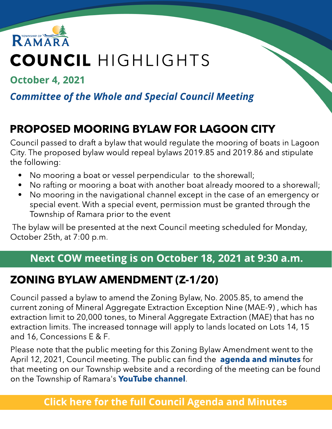

# COUNCIL HIGHLIGHTS

**October 4, 2021** 

### **Committee of the Whole and Special Council Meeting**

# PROPOSED MOORING BYLAW FOR LAGOON CITY

Council passed to draft a bylaw that would regulate the mooring of boats in Lagoon City. The proposed bylaw would repeal bylaws 2019.85 and 2019.86 and stipulate the following:

- No mooring a boat or vessel perpendicular to the shorewall;
- No rafting or mooring a boat with another boat already moored to a shorewall;
- No mooring in the navigational channel except in the case of an emergency or special event. With a special event, permission must be granted through the Township of Ramara prior to the event

The bylaw will be presented at the next Council meeting scheduled for Monday, October 25th, at 7:00 p.m.

### Next COW meeting is on October 18, 2021 at 9:30 a.m.

### ZONING BYLAW AMENDMENT (Z-1/20)

Council passed a bylaw to amend the Zoning Bylaw, No. 2005.85, to amend the current zoning of Mineral Aggregate Extraction Exception Nine (MAE-9) , which has extraction limit to 20,000 tones, to Mineral Aggregate Extraction (MAE) that has no extraction limits. The increased tonnage will apply to lands located on Lots 14, 15 and 16, Concessions E & F.

Please note that the public meeting for this Zoning Bylaw Amendment went to the April 12, 2021, Council meeting. The public can find the **[agenda](https://ramara.civicweb.net/Portal/MeetingInformation.aspx?Org=Cal&Id=391) [and](https://ramara.civicweb.net/Portal/MeetingInformation.aspx?Org=Cal&Id=391) [minutes](https://ramara.civicweb.net/Portal/MeetingInformation.aspx?Org=Cal&Id=391)** for that meeting on our Township website and a recording of the meeting can be found on the Township of Ramara's **[YouTube](https://www.youtube.com/watch?v=ndZue3L5pu4) [channel](https://www.youtube.com/watch?v=ndZue3L5pu4)**.

#### **[Click](https://ramara.civicweb.net/portal/) [here](https://ramara.civicweb.net/portal/) [for](https://ramara.civicweb.net/portal/) t[he](https://ramara.civicweb.net/portal/) [full](https://ramara.civicweb.net/portal/) [Council](https://ramara.civicweb.net/portal/) [Agenda](https://ramara.civicweb.net/portal/) [and](https://ramara.civicweb.net/portal/) [Minut](https://ramara.civicweb.net/portal/)es**